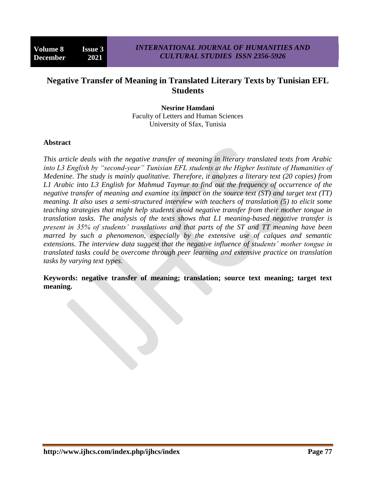# **Negative Transfer of Meaning in Translated Literary Texts by Tunisian EFL Students**

**Nesrine Hamdani** Faculty of Letters and Human Sciences University of Sfax, Tunisia

#### **Abstract**

*This article deals with the negative transfer of meaning in literary translated texts from Arabic*  into L3 English by "second-year" Tunisian EFL students at the Higher Institute of Humanities of *Medenine. The study is mainly qualitative. Therefore, it analyzes a literary text (20 copies) from L1 Arabic into L3 English for Mahmud Taymur to find out the frequency of occurrence of the negative transfer of meaning and examine its impact on the source text (ST) and target text (TT) meaning. It also uses a semi-structured interview with teachers of translation (5) to elicit some teaching strategies that might help students avoid negative transfer from their mother tongue in translation tasks. The analysis of the texts shows that L1 meaning-based negative transfer is present in 35% of students' translations and that parts of the ST and TT meaning have been marred by such a phenomenon, especially by the extensive use of calques and semantic extensions. The interview data suggest that the negative influence of students' mother tongue in translated tasks could be overcome through peer learning and extensive practice on translation tasks by varying text types.*

**Keywords: negative transfer of meaning; translation; source text meaning; target text meaning.**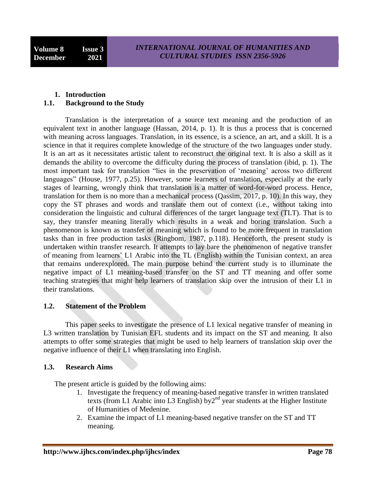## **1. Introduction 1.1. Background to the Study**

Translation is the interpretation of a source text meaning and the production of an equivalent text in another language (Hassan, 2014, p. 1). It is thus a process that is concerned with meaning across languages. Translation, in its essence, is a science, an art, and a skill. It is a science in that it requires complete knowledge of the structure of the two languages under study. It is an art as it necessitates artistic talent to reconstruct the original text. It is also a skill as it demands the ability to overcome the difficulty during the process of translation (ibid, p. 1). The most important task for translation "lies in the preservation of "meaning" across two different languages" (House, 1977, p.25). However, some learners of translation, especially at the early stages of learning, wrongly think that translation is a matter of word-for-word process. Hence, translation for them is no more than a mechanical process (Qassim, 2017, p. 10). In this way, they copy the ST phrases and words and translate them out of context (i.e., without taking into consideration the linguistic and cultural differences of the target language text (TLT). That is to say, they transfer meaning literally which results in a weak and boring translation. Such a phenomenon is known as transfer of meaning which is found to be more frequent in translation tasks than in free production tasks (Ringbom, 1987, p.118). Henceforth, the present study is undertaken within transfer research. It attempts to lay bare the phenomenon of negative transfer of meaning from learners" L1 Arabic into the TL (English) within the Tunisian context, an area that remains underexplored. The main purpose behind the current study is to illuminate the negative impact of L1 meaning-based transfer on the ST and TT meaning and offer some teaching strategies that might help learners of translation skip over the intrusion of their L1 in their translations.

# **1.2. Statement of the Problem**

This paper seeks to investigate the presence of L1 lexical negative transfer of meaning in L3 written translation by Tunisian EFL students and its impact on the ST and meaning. It also attempts to offer some strategies that might be used to help learners of translation skip over the negative influence of their L1 when translating into English.

# **1.3. Research Aims**

The present article is guided by the following aims:

- 1. Investigate the frequency of meaning-based negative transfer in written translated texts (from L1 Arabic into L3 English) by $2<sup>nd</sup>$  year students at the Higher Institute of Humanities of Medenine.
- 2. Examine the impact of L1 meaning-based negative transfer on the ST and TT meaning.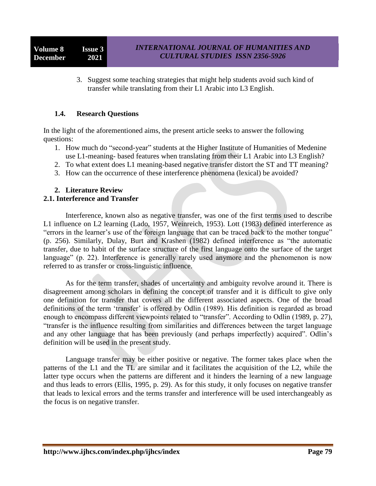3. Suggest some teaching strategies that might help students avoid such kind of transfer while translating from their L1 Arabic into L3 English.

## **1.4. Research Questions**

In the light of the aforementioned aims, the present article seeks to answer the following questions:

- 1. How much do "second-year" students at the Higher Institute of Humanities of Medenine use L1-meaning- based features when translating from their L1 Arabic into L3 English?
- 2. To what extent does L1 meaning-based negative transfer distort the ST and TT meaning?
- 3. How can the occurrence of these interference phenomena (lexical) be avoided?

#### **2. Literature Review 2.1. Interference and Transfer**

Interference, known also as negative transfer, was one of the first terms used to describe L1 influence on L2 learning (Lado, 1957, Weinreich, 1953). Lott (1983) defined interference as "errors in the learner"s use of the foreign language that can be traced back to the mother tongue" (p. 256). Similarly, Dulay, Burt and Krashen (1982) defined interference as "the automatic transfer, due to habit of the surface structure of the first language onto the surface of the target language" (p. 22). Interference is generally rarely used anymore and the phenomenon is now referred to as transfer or cross-linguistic influence.

As for the term transfer, shades of uncertainty and ambiguity revolve around it. There is disagreement among scholars in defining the concept of transfer and it is difficult to give only one definition for transfer that covers all the different associated aspects. One of the broad definitions of the term 'transfer' is offered by Odlin (1989). His definition is regarded as broad enough to encompass different viewpoints related to "transfer". According to Odlin (1989, p. 27), "transfer is the influence resulting from similarities and differences between the target language and any other language that has been previously (and perhaps imperfectly) acquired". Odlin"s definition will be used in the present study.

Language transfer may be either positive or negative. The former takes place when the patterns of the L1 and the TL are similar and it facilitates the acquisition of the L2, while the latter type occurs when the patterns are different and it hinders the learning of a new language and thus leads to errors (Ellis, 1995, p. 29). As for this study, it only focuses on negative transfer that leads to lexical errors and the terms transfer and interference will be used interchangeably as the focus is on negative transfer.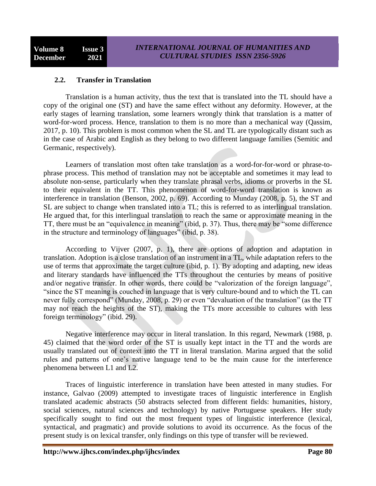## **2.2. Transfer in Translation**

Translation is a human activity, thus the text that is translated into the TL should have a copy of the original one (ST) and have the same effect without any deformity. However, at the early stages of learning translation, some learners wrongly think that translation is a matter of word-for-word process. Hence, translation to them is no more than a mechanical way (Qassim, 2017, p. 10). This problem is most common when the SL and TL are typologically distant such as in the case of Arabic and English as they belong to two different language families (Semitic and Germanic, respectively).

Learners of translation most often take translation as a word-for-for-word or phrase-tophrase process. This method of translation may not be acceptable and sometimes it may lead to absolute non-sense, particularly when they translate phrasal verbs, idioms or proverbs in the SL to their equivalent in the TT. This phenomenon of word-for-word translation is known as interference in translation (Benson, 2002, p. 69). According to Munday (2008, p. 5), the ST and SL are subject to change when translated into a TL; this is referred to as interlingual translation. He argued that, for this interlingual translation to reach the same or approximate meaning in the TT, there must be an "equivalence in meaning" (ibid, p. 37). Thus, there may be "some difference in the structure and terminology of languages" (ibid, p. 38).

According to Vijver (2007, p. 1), there are options of adoption and adaptation in translation. Adoption is a close translation of an instrument in a TL, while adaptation refers to the use of terms that approximate the target culture (ibid, p. 1). By adopting and adapting, new ideas and literary standards have influenced the TTs throughout the centuries by means of positive and/or negative transfer. In other words, there could be "valorization of the foreign language", "since the ST meaning is couched in language that is very culture-bound and to which the TL can never fully correspond" (Munday, 2008, p. 29) or even "devaluation of the translation" (as the TT may not reach the heights of the ST), making the TTs more accessible to cultures with less foreign terminology" (ibid. 29).

Negative interference may occur in literal translation. In this regard, Newmark (1988, p. 45) claimed that the word order of the ST is usually kept intact in the TT and the words are usually translated out of context into the TT in literal translation. Marina argued that the solid rules and patterns of one"s native language tend to be the main cause for the interference phenomena between L1 and L2.

Traces of linguistic interference in translation have been attested in many studies. For instance, Galvao (2009) attempted to investigate traces of linguistic interference in English translated academic abstracts (50 abstracts selected from different fields: humanities, history, social sciences, natural sciences and technology) by native Portuguese speakers. Her study specifically sought to find out the most frequent types of linguistic interference (lexical, syntactical, and pragmatic) and provide solutions to avoid its occurrence. As the focus of the present study is on lexical transfer, only findings on this type of transfer will be reviewed.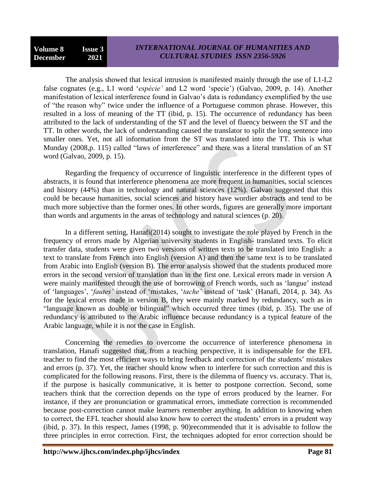The analysis showed that lexical intrusion is manifested mainly through the use of L1-L2 false cognates (e.g., L1 word "*espécie'* and L2 word "specie") (Galvao, 2009, p. 14). Another manifestation of lexical interference found in Galvao"s data is redundancy exemplified by the use of "the reason why" twice under the influence of a Portuguese common phrase. However, this resulted in a loss of meaning of the TT (ibid, p. 15). The occurrence of redundancy has been attributed to the lack of understanding of the ST and the level of fluency between the ST and the TT. In other words, the lack of understanding caused the translator to split the long sentence into smaller ones. Yet, not all information from the ST was translated into the TT. This is what Munday (2008,p. 115) called "laws of interference" and there was a literal translation of an ST word (Galvao, 2009, p. 15).

Regarding the frequency of occurrence of linguistic interference in the different types of abstracts, it is found that interference phenomena are more frequent in humanities, social sciences and history (44%) than in technology and natural sciences (12%). Galvao suggested that this could be because humanities, social sciences and history have wordier abstracts and tend to be much more subjective than the former ones. In other words, figures are generally more important than words and arguments in the areas of technology and natural sciences (p. 20).

In a different setting, Hanafi(2014) sought to investigate the role played by French in the frequency of errors made by Algerian university students in English- translated texts. To elicit transfer data, students were given two versions of written texts to be translated into English: a text to translate from French into English (version A) and then the same text is to be translated from Arabic into English (version B). The error analysis showed that the students produced more errors in the second version of translation than in the first one. Lexical errors made in version A were mainly manifested through the use of borrowing of French words, such as "langue" instead of "languages", "*fautes'* instead of "mistakes, "*tache'* instead of "task" (Hanafi, 2014, p. 34). As for the lexical errors made in version B, they were mainly marked by redundancy, such as in "language known as double or bilingual" which occurred three times (ibid, p. 35). The use of redundancy is attributed to the Arabic influence because redundancy is a typical feature of the Arabic language, while it is not the case in English.

Concerning the remedies to overcome the occurrence of interference phenomena in translation, Hanafi suggested that, from a teaching perspective, it is indispensable for the EFL teacher to find the most efficient ways to bring feedback and correction of the students" mistakes and errors (p. 37). Yet, the teacher should know when to interfere for such correction and this is complicated for the following reasons. First, there is the dilemma of fluency vs. accuracy. That is, if the purpose is basically communicative, it is better to postpone correction. Second, some teachers think that the correction depends on the type of errors produced by the learner. For instance, if they are pronunciation or grammatical errors, immediate correction is recommended because post-correction cannot make learners remember anything. In addition to knowing when to correct, the EFL teacher should also know how to correct the students' errors in a prudent way (ibid, p. 37). In this respect, James (1998, p. 90)recommended that it is advisable to follow the three principles in error correction. First, the techniques adopted for error correction should be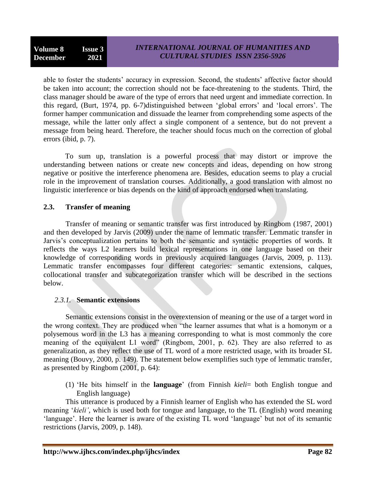able to foster the students' accuracy in expression. Second, the students' affective factor should be taken into account; the correction should not be face-threatening to the students. Third, the class manager should be aware of the type of errors that need urgent and immediate correction. In this regard, (Burt, 1974, pp. 6-7)distinguished between "global errors" and "local errors". The former hamper communication and dissuade the learner from comprehending some aspects of the message, while the latter only affect a single component of a sentence, but do not prevent a message from being heard. Therefore, the teacher should focus much on the correction of global errors (ibid, p. 7).

To sum up, translation is a powerful process that may distort or improve the understanding between nations or create new concepts and ideas, depending on how strong negative or positive the interference phenomena are. Besides, education seems to play a crucial role in the improvement of translation courses. Additionally, a good translation with almost no linguistic interference or bias depends on the kind of approach endorsed when translating.

## **2.3. Transfer of meaning**

Transfer of meaning or semantic transfer was first introduced by Ringbom (1987, 2001) and then developed by Jarvis (2009) under the name of lemmatic transfer. Lemmatic transfer in Jarvis"s conceptualization pertains to both the semantic and syntactic properties of words. It reflects the ways L2 learners build lexical representations in one language based on their knowledge of corresponding words in previously acquired languages (Jarvis, 2009, p. 113). Lemmatic transfer encompasses four different categories: semantic extensions, calques, collocational transfer and subcategorization transfer which will be described in the sections below.

# *2.3.1.* **Semantic extensions**

Semantic extensions consist in the overextension of meaning or the use of a target word in the wrong context. They are produced when "the learner assumes that what is a homonym or a polysemous word in the L3 has a meaning corresponding to what is most commonly the core meaning of the equivalent L1 word" (Ringbom, 2001, p. 62). They are also referred to as generalization, as they reflect the use of TL word of a more restricted usage, with its broader SL meaning (Bouvy, 2000, p. 149). The statement below exemplifies such type of lemmatic transfer, as presented by Ringbom (2001, p. 64):

(1) "He bits himself in the **language**" (from Finnish *kieli*= both English tongue and English language)

This utterance is produced by a Finnish learner of English who has extended the SL word meaning "*kieli'*, which is used both for tongue and language, to the TL (English) word meaning 'language'. Here the learner is aware of the existing TL word 'language' but not of its semantic restrictions (Jarvis, 2009, p. 148).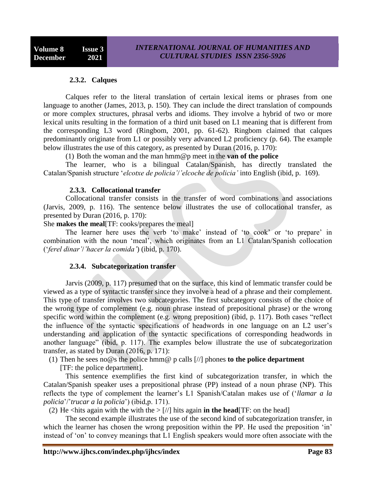#### **2.3.2. Calques**

Calques refer to the literal translation of certain lexical items or phrases from one language to another (James, 2013, p. 150). They can include the direct translation of compounds or more complex structures, phrasal verbs and idioms. They involve a hybrid of two or more lexical units resulting in the formation of a third unit based on L1 meaning that is different from the corresponding L3 word (Ringbom, 2001, pp. 61-62). Ringbom claimed that calques predominantly originate from L1 or possibly very advanced L2 proficiency (p. 64). The example below illustrates the use of this category, as presented by Duran (2016, p. 170):

(1) Both the woman and the man hmm@p meet in the **van of the police**

The learner, who is a bilingual Catalan/Spanish, has directly translated the Catalan/Spanish structure "*elcotxe de policia'*/*'elcoche de policia'* into English (ibid, p. 169).

#### **2.3.3. Collocational transfer**

Collocational transfer consists in the transfer of word combinations and associations (Jarvis, 2009, p. 116). The sentence below illustrates the use of collocational transfer, as presented by Duran (2016, p. 170):

She **makes the meal**[TF: cooks/prepares the meal]

The learner here uses the verb 'to make' instead of 'to cook' or 'to prepare' in combination with the noun "meal", which originates from an L1 Catalan/Spanish collocation ("*ferel dinar'*/*'hacer la comida'*) (ibid, p. 170).

## **2.3.4. Subcategorization transfer**

Jarvis (2009, p. 117) presumed that on the surface, this kind of lemmatic transfer could be viewed as a type of syntactic transfer since they involve a head of a phrase and their complement. This type of transfer involves two subcategories. The first subcategory consists of the choice of the wrong type of complement (e.g. noun phrase instead of prepositional phrase) or the wrong specific word within the complement (e.g. wrong preposition) (ibid, p. 117). Both cases "reflect the influence of the syntactic specifications of headwords in one language on an L2 user"s understanding and application of the syntactic specifications of corresponding headwords in another language" (ibid, p. 117). The examples below illustrate the use of subcategorization transfer, as stated by Duran (2016, p. 171):

(1) Then he sees no@s the police hmm@ p calls [//] phones **to the police department**

[TF: the police department].

This sentence exemplifies the first kind of subcategorization transfer, in which the Catalan/Spanish speaker uses a prepositional phrase (PP) instead of a noun phrase (NP). This reflects the type of complement the learner"s L1 Spanish/Catalan makes use of ("*llamar a la policia*"/"*trucar a la policia*") (ibid,p. 171).

(2) He <hits again with the with the  $>|/|$  hits again **in the head** [TF: on the head]

The second example illustrates the use of the second kind of subcategorization transfer, in which the learner has chosen the wrong preposition within the PP. He used the preposition 'in' instead of "on" to convey meanings that L1 English speakers would more often associate with the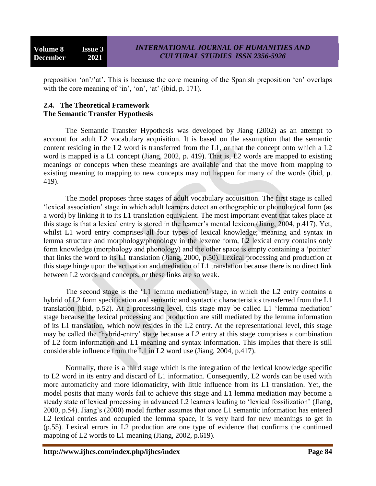preposition 'on'/'at'. This is because the core meaning of the Spanish preposition 'en' overlaps with the core meaning of  $\sin$ ,  $\sin$ ,  $\cot$ ,  $\cot$ ,  $\cot$ ,  $\cot$ ,  $\cot$ ,  $\cot$ ,  $\cot$ ,  $\cot$ ,  $\cot$ ,  $\cot$ ,  $\cot$ ,  $\cot$ ,  $\cot$ ,  $\cot$ ,  $\cot$ ,  $\cot$ ,  $\cot$ ,  $\cot$ ,  $\cot$ ,  $\cot$ ,  $\cot$ ,  $\cot$ ,  $\cot$ ,  $\cot$ ,  $\cot$ ,  $\cot$ ,  $\cot$ ,  $\cot$ ,  $\cot$ ,  $\cot$ ,  $\cot$ 

## **2.4. The Theoretical Framework The Semantic Transfer Hypothesis**

The Semantic Transfer Hypothesis was developed by Jiang (2002) as an attempt to account for adult L2 vocabulary acquisition. It is based on the assumption that the semantic content residing in the L2 word is transferred from the L1, or that the concept onto which a L2 word is mapped is a L1 concept (Jiang, 2002, p. 419). That is, L2 words are mapped to existing meanings or concepts when these meanings are available and that the move from mapping to existing meaning to mapping to new concepts may not happen for many of the words (ibid, p. 419).

The model proposes three stages of adult vocabulary acquisition. The first stage is called "lexical association" stage in which adult learners detect an orthographic or phonological form (as a word) by linking it to its L1 translation equivalent. The most important event that takes place at this stage is that a lexical entry is stored in the learner"s mental lexicon (Jiang, 2004, p.417). Yet, whilst L1 word entry comprises all four types of lexical knowledge; meaning and syntax in lemma structure and morphology/phonology in the lexeme form, L2 lexical entry contains only form knowledge (morphology and phonology) and the other space is empty containing a "pointer" that links the word to its L1 translation (Jiang, 2000, p.50). Lexical processing and production at this stage hinge upon the activation and mediation of L1 translation because there is no direct link between L2 words and concepts, or these links are so weak.

The second stage is the 'L1 lemma mediation' stage, in which the L2 entry contains a hybrid of L2 form specification and semantic and syntactic characteristics transferred from the L1 translation (ibid, p.52). At a processing level, this stage may be called L1 "lemma mediation" stage because the lexical processing and production are still mediated by the lemma information of its L1 translation, which now resides in the L2 entry. At the representational level, this stage may be called the "hybrid-entry" stage because a L2 entry at this stage comprises a combination of L2 form information and L1 meaning and syntax information. This implies that there is still considerable influence from the L1 in L2 word use (Jiang, 2004, p.417).

Normally, there is a third stage which is the integration of the lexical knowledge specific to L2 word in its entry and discard of L1 information. Consequently, L2 words can be used with more automaticity and more idiomaticity, with little influence from its L1 translation. Yet, the model posits that many words fail to achieve this stage and L1 lemma mediation may become a steady state of lexical processing in advanced L2 learners leading to "lexical fossilization" (Jiang, 2000, p.54). Jiang"s (2000) model further assumes that once L1 semantic information has entered L2 lexical entries and occupied the lemma space, it is very hard for new meanings to get in (p.55). Lexical errors in L2 production are one type of evidence that confirms the continued mapping of L2 words to L1 meaning (Jiang, 2002, p.619).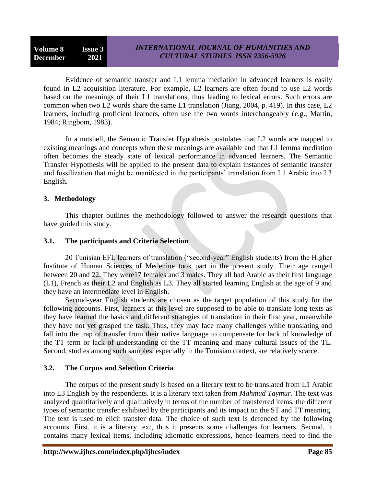Evidence of semantic transfer and L1 lemma mediation in advanced learners is easily found in L2 acquisition literature. For example, L2 learners are often found to use L2 words based on the meanings of their L1 translations, thus leading to lexical errors. Such errors are common when two L2 words share the same L1 translation (Jiang, 2004, p. 419). In this case, L2 learners, including proficient learners, often use the two words interchangeably (e.g., Martin, 1984; Ringbom, 1983).

In a nutshell, the Semantic Transfer Hypothesis postulates that L2 words are mapped to existing meanings and concepts when these meanings are available and that L1 lemma mediation often becomes the steady state of lexical performance in advanced learners. The Semantic Transfer Hypothesis will be applied to the present data to explain instances of semantic transfer and fossilization that might be manifested in the participants' translation from L1 Arabic into L3 English.

## **3. Methodology**

This chapter outlines the methodology followed to answer the research questions that have guided this study.

## **3.1. The participants and Criteria Selection**

20 Tunisian EFL learners of translation ("second-year" English students) from the Higher Institute of Human Sciences of Medenine took part in the present study. Their age ranged between 20 and 22. They were17 females and 3 males. They all had Arabic as their first language (L1), French as their L2 and English as L3. They all started learning English at the age of 9 and they have an intermediate level in English.

Second-year English students are chosen as the target population of this study for the following accounts. First, learners at this level are supposed to be able to translate long texts as they have learned the basics and different strategies of translation in their first year, meanwhile they have not yet grasped the task. Thus, they may face many challenges while translating and fall into the trap of transfer from their native language to compensate for lack of knowledge of the TT term or lack of understanding of the TT meaning and many cultural issues of the TL. Second, studies among such samples, especially in the Tunisian context, are relatively scarce.

# **3.2. The Corpus and Selection Criteria**

The corpus of the present study is based on a literary text to be translated from L1 Arabic into L3 English by the respondents. It is a literary text taken from *Mahmud Taymur*. The text was analyzed quantitatively and qualitatively in terms of the number of transferred items, the different types of semantic transfer exhibited by the participants and its impact on the ST and TT meaning. The text is used to elicit transfer data. The choice of such text is defended by the following accounts. First, it is a literary text, thus it presents some challenges for learners. Second, it contains many lexical items, including idiomatic expressions, hence learners need to find the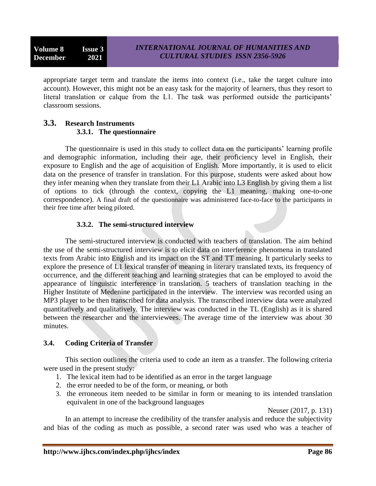appropriate target term and translate the items into context (i.e., take the target culture into account). However, this might not be an easy task for the majority of learners, thus they resort to literal translation or calque from the L1. The task was performed outside the participants' classroom sessions.

## **3.3. Research Instruments 3.3.1. The questionnaire**

The questionnaire is used in this study to collect data on the participants' learning profile and demographic information, including their age, their proficiency level in English, their exposure to English and the age of acquisition of English. More importantly, it is used to elicit data on the presence of transfer in translation. For this purpose, students were asked about how they infer meaning when they translate from their L1 Arabic into L3 English by giving them a list of options to tick (through the context, copying the L1 meaning, making one-to-one correspondence). A final draft of the questionnaire was administered face-to-face to the participants in their free time after being piloted.

## **3.3.2. The semi-structured interview**

The semi-structured interview is conducted with teachers of translation. The aim behind the use of the semi-structured interview is to elicit data on interference phenomena in translated texts from Arabic into English and its impact on the ST and TT meaning. It particularly seeks to explore the presence of L1 lexical transfer of meaning in literary translated texts, its frequency of occurrence, and the different teaching and learning strategies that can be employed to avoid the appearance of linguistic interference in translation. 5 teachers of translation teaching in the Higher Institute of Medenine participated in the interview. The interview was recorded using an MP3 player to be then transcribed for data analysis. The transcribed interview data were analyzed quantitatively and qualitatively. The interview was conducted in the TL (English) as it is shared between the researcher and the interviewees. The average time of the interview was about 30 minutes.

# **3.4. Coding Criteria of Transfer**

This section outlines the criteria used to code an item as a transfer. The following criteria were used in the present study:

- 1. The lexical item had to be identified as an error in the target language
- 2. the error needed to be of the form, or meaning, or both
- 3. the erroneous item needed to be similar in form or meaning to its intended translation equivalent in one of the background languages

Neuser (2017, p. 131)

In an attempt to increase the credibility of the transfer analysis and reduce the subjectivity and bias of the coding as much as possible, a second rater was used who was a teacher of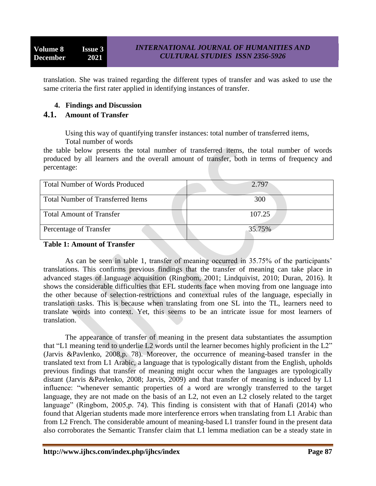translation. She was trained regarding the different types of transfer and was asked to use the same criteria the first rater applied in identifying instances of transfer.

# **4. Findings and Discussion**

# **4.1. Amount of Transfer**

Using this way of quantifying transfer instances: total number of transferred items,

Total number of words

the table below presents the total number of transferred items, the total number of words produced by all learners and the overall amount of transfer, both in terms of frequency and percentage:

| <b>Total Number of Words Produced</b>    | 2.797  |
|------------------------------------------|--------|
| <b>Total Number of Transferred Items</b> | 300    |
| <b>Total Amount of Transfer</b>          | 107.25 |
| Percentage of Transfer                   | 35.75% |

## **Table 1: Amount of Transfer**

As can be seen in table 1, transfer of meaning occurred in 35.75% of the participants' translations. This confirms previous findings that the transfer of meaning can take place in advanced stages of language acquisition (Ringbom, 2001; Lindquivist, 2010; Duran, 2016). It shows the considerable difficulties that EFL students face when moving from one language into the other because of selection-restrictions and contextual rules of the language, especially in translation tasks. This is because when translating from one SL into the TL, learners need to translate words into context. Yet, this seems to be an intricate issue for most learners of translation.

The appearance of transfer of meaning in the present data substantiates the assumption that "L1 meaning tend to underlie L2 words until the learner becomes highly proficient in the L2" (Jarvis &Pavlenko, 2008,p. 78). Moreover, the occurrence of meaning-based transfer in the translated text from L1 Arabic, a language that is typologically distant from the English, upholds previous findings that transfer of meaning might occur when the languages are typologically distant (Jarvis &Pavlenko, 2008; Jarvis, 2009) and that transfer of meaning is induced by L1 influence: "whenever semantic properties of a word are wrongly transferred to the target language, they are not made on the basis of an L2, not even an L2 closely related to the target language" (Ringbom, 2005,p. 74). This finding is consistent with that of Hanafi (2014) who found that Algerian students made more interference errors when translating from L1 Arabic than from L2 French. The considerable amount of meaning-based L1 transfer found in the present data also corroborates the Semantic Transfer claim that L1 lemma mediation can be a steady state in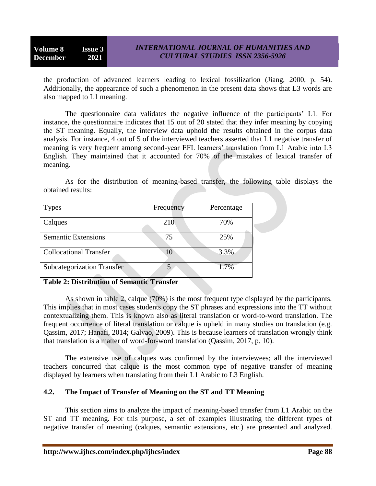the production of advanced learners leading to lexical fossilization (Jiang, 2000, p. 54). Additionally, the appearance of such a phenomenon in the present data shows that L3 words are also mapped to L1 meaning.

The questionnaire data validates the negative influence of the participants" L1. For instance, the questionnaire indicates that 15 out of 20 stated that they infer meaning by copying the ST meaning. Equally, the interview data uphold the results obtained in the corpus data analysis. For instance, 4 out of 5 of the interviewed teachers asserted that L1 negative transfer of meaning is very frequent among second-year EFL learners' translation from L1 Arabic into L3 English. They maintained that it accounted for 70% of the mistakes of lexical transfer of meaning.

As for the distribution of meaning-based transfer, the following table displays the obtained results:

|    | 70%  |
|----|------|
| 75 | 25%  |
| 10 | 3.3% |
|    | 1.7% |
|    | 210  |

# **Table 2: Distribution of Semantic Transfer**

As shown in table 2, calque (70%) is the most frequent type displayed by the participants. This implies that in most cases students copy the ST phrases and expressions into the TT without contextualizing them. This is known also as literal translation or word-to-word translation. The frequent occurrence of literal translation or calque is upheld in many studies on translation (e.g. Qassim, 2017; Hanafi, 2014; Galvao, 2009). This is because learners of translation wrongly think that translation is a matter of word-for-word translation (Qassim, 2017, p. 10).

The extensive use of calques was confirmed by the interviewees; all the interviewed teachers concurred that calque is the most common type of negative transfer of meaning displayed by learners when translating from their L1 Arabic to L3 English.

# **4.2. The Impact of Transfer of Meaning on the ST and TT Meaning**

This section aims to analyze the impact of meaning-based transfer from L1 Arabic on the ST and TT meaning. For this purpose, a set of examples illustrating the different types of negative transfer of meaning (calques, semantic extensions, etc.) are presented and analyzed.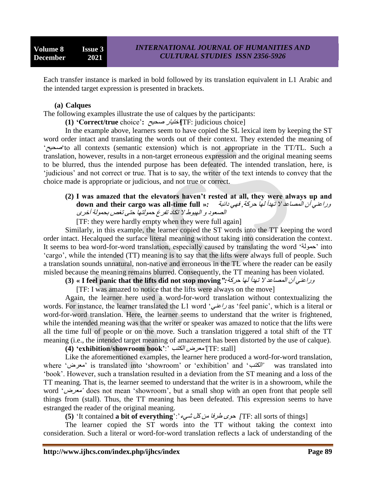Each transfer instance is marked in bold followed by its translation equivalent in L1 Arabic and the intended target expression is presented in brackets.

#### **(a) Calques**

The following examples illustrate the use of calques by the participants:

**(1) 'Correct/true** choice"**:** صذيخ اختيار**]**TF: judicious choice]

In the example above, learners seem to have copied the SL lexical item by keeping the ST word order intact and translating the words out of their context. They extended the meaning of "صذيخ"to all contexts (semantic extension) which is not appropriate in the TT/TL. Such a translation, however, results in a non-target erroneous expression and the original meaning seems to be blurred, thus the intended purpose has been defeated. The intended translation, here, is "judicious" and not correct or true. That is to say, the writer of the text intends to convey that the choice made is appropriate or judicious, and not true or correct.

#### **(2) I was amazed that the elevators haven't rested at all, they were always up and** وراعىي أن المصاعد ال تهدأ لها دزكة, فهي دائثة *:***« full time-all was cargo their and down** الصعود و الهبوط لا تكاد تفرغ حمولتها حتى تغص بحمولة أخزي

[TF: they were hardly empty when they were full again]

Similarly, in this example, the learner copied the ST words into the TT keeping the word order intact. Hecalqued the surface literal meaning without taking into consideration the context. It seems to bea word-for-word translation, especially caused by translating the word "دمىلة "into "cargo", while the intended (TT) meaning is to say that the lifts were always full of people. Such a translation sounds unnatural, non-native and erroneous in the TL where the reader can be easily misled because the meaning remains blurred. Consequently, the TT meaning has been violated.

**(3) « I feel panic that the lifts did not stop moving***":*دزكة لها تهدأ ال المصاعد أن وراعىي

[TF: I was amazed to notice that the lifts were always on the move]

Again, the learner here used a word-for-word translation without contextualizing the words. For instance, the learner translated the L1 word 'راعنى as 'feel panic', which is a literal or word-for-word translation. Here, the learner seems to understand that the writer is frightened, while the intended meaning was that the writer or speaker was amazed to notice that the lifts were all the time full of people or on the move. Such a translation triggered a total shift of the TT meaning (i.e., the intended target meaning of amazement has been distorted by the use of calque).

**(4) 'exhibition/showroom book'**:" الكتة معزض]*'*TF: stall]

Like the aforementioned examples, the learner here produced a word-for-word translation, where "معزض "is translated into "showroom" or "exhibition" and "الكتة *'*was translated into "book". However, such a translation resulted in a deviation from the ST meaning and a loss of the TT meaning. That is, the learner seemed to understand that the writer is in a showroom, while the word "معزض *'*does not mean "showroom", but a small shop with an open front that people sell things from (stall). Thus, the TT meaning has been defeated. This expression seems to have estranged the reader of the original meaning.

**(5)** "It contained **a bit of everything**":"شيء كل مه طزفا دىي*]* TF: all sorts of things]

The learner copied the ST words into the TT without taking the context into consideration. Such a literal or word-for-word translation reflects a lack of understanding of the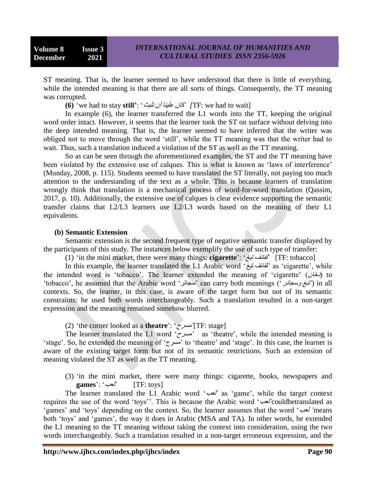ST meaning. That is, the learner seemed to have understood that there is little of everything, while the intended meaning is that there are all sorts of things. Consequently, the TT meaning was corrupted.

**(6)** "we had to stay **still'**: "ولثث أن عليىا كان*] '*TF: we had to wait]

In example (6), the learner transferred the L1 words into the TT, keeping the original word order intact. However, it seems that the learner took the ST on surface without delving into the deep intended meaning. That is, the learner seemed to have inferred that the writer was obliged not to move through the word "still", while the TT meaning was that the writer had to wait. Thus, such a translation induced a violation of the ST as well as the TT meaning.

So as can be seen through the aforementioned examples, the ST and the TT meaning have been violated by the extensive use of calques. This is what is known as 'laws of interference' (Munday, 2008, p. 115). Students seemed to have translated the ST literally, not paying too much attention to the understanding of the text as a whole. This is because learners of translation wrongly think that translation is a mechanical process of word-for-word translation (Qassim, 2017, p. 10). Additionally, the extensive use of calques is clear evidence supporting the semantic transfer claims that L2/L3 learners use L2/L3 words based on the meaning of their L1 equivalents.

## **(b) Semantic Extension**

Semantic extension is the second frequent type of negative semantic transfer displayed by the participants of this study. The instances below exemplify the use of such type of transfer:

(1) "in the mini market, there were many things: **cigarette**": "تثػ لفائف] *'*TF: tobacco]

In this example, the learner translated the L1 Arabic word 'تشاكف تبغ' as 'cigarette', while the intended word is 'tobacco'. The learner extended the meaning of 'cigarette' (دخان) to "tobacco", he assumed that the Arabic word "سجائز "can carry both meanings ("وسجائز تثػ (*'*in all contexts. So, the learner, in this case, is aware of the target form but not of its semantic constraints: he used both words interchangeably. Such a translation resulted in a non-target expression and the meaning remained somehow blurred.

(2) "the corner looked as a **theatre**": "مسزح]*'*TF: stage]

The learner translated the L1 word "مسزح *'*as "theatre", while the intended meaning is "stage". So, he extended the meaning of "مسزح "to "theatre" and "stage". In this case, the learner is aware of the existing target form but not of its semantic restrictions. Such an extension of meaning violated the ST as well as the TT meaning.

(3) "in the mini market, there were many things: cigarette, books, newspapers and **games**": "لعة] *'*TF: toys]

The learner translated the L1 Arabic word "لعة *'*as "game", while the target context requires the use of the word "toys"". This is because the Arabic word "لعة*'*couldbetranslated as "games" and "toys" depending on the context. So, the learner assumes that the word "لعة*'* means both 'toys' and 'games', the way it does in Arabic (MSA and TA). In other words, he extended the L1 meaning to the TT meaning without taking the context into consideration, using the two words interchangeably. Such a translation resulted in a non-target erroneous expression, and the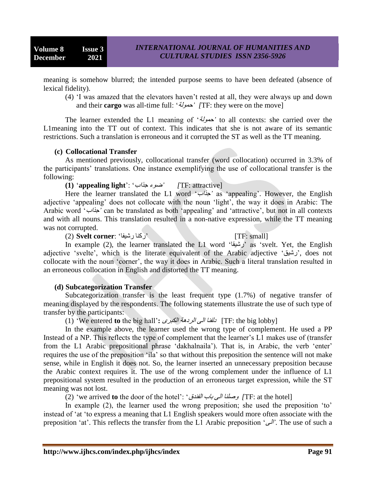meaning is somehow blurred; the intended purpose seems to have been defeated (absence of lexical fidelity).

(4) "I was amazed that the elevators haven"t rested at all, they were always up and down and their **cargo** was all-time full: "دمىلة*] '*TF: they were on the move]

The learner extended the L1 meaning of "دمىلة *'*to all contexts: she carried over the L1meaning into the TT out of context. This indicates that she is not aware of its semantic restrictions. Such a translation is erroneous and it corrupted the ST as well as the TT meaning.

## **(c) Collocational Transfer**

As mentioned previously, collocational transfer (word collocation) occurred in 3.3% of the participants" translations. One instance exemplifying the use of collocational transfer is the following:

**(1)** "**appealing light**": "جذاب ضىء*] '*TF: attractive]

Here the learner translated the L1 word "جذاب *'*as "appealing". However, the English adjective "appealing" does not collocate with the noun "light", the way it does in Arabic: The Arabic word "جذاب *'*can be translated as both "appealing" and "attractive", but not in all contexts and with all nouns. This translation resulted in a non-native expression, while the TT meaning was not corrupted.

(2) **Svelt corner**: "رشيفا ركىا] "TF: small]

In example (2), the learner translated the L1 word "رشيقا "as "svelt. Yet, the English adjective "svelte", which is the literate equivalent of the Arabic adjective "رشيك", does not collocate with the noun "corner", the way it does in Arabic. Such a literal translation resulted in an erroneous collocation in English and distorted the TT meaning.

## **(d) Subcategorization Transfer**

Subcategorization transfer is the least frequent type (1.7%) of negative transfer of meaning displayed by the respondents. The following statements illustrate the use of such type of transfer by the participants:

(1) "We entered **to** the big hall"**:** الكثزي الزدهة ًال دلفىا] TF: the big lobby]

In the example above, the learner used the wrong type of complement. He used a PP Instead of a NP. This reflects the type of complement that the learner"s L1 makes use of (transfer from the L1 Arabic prepositional phrase 'dakhalnaila'). That is, in Arabic, the verb 'enter' requires the use of the preposition "ila" so that without this preposition the sentence will not make sense, while in English it does not. So, the learner inserted an unnecessary preposition because the Arabic context requires it. The use of the wrong complement under the influence of L1 prepositional system resulted in the production of an erroneous target expression, while the ST meaning was not lost.

(2) "we arrived **to** the door of the hotel": "الفىدق تاب ًال وصلىا*]* TF: at the hotel]

In example (2), the learner used the wrong preposition; she used the preposition 'to' instead of "at "to express a meaning that L1 English speakers would more often associate with the preposition "at". This reflects the transfer from the L1 Arabic preposition "ًال*'*. The use of such a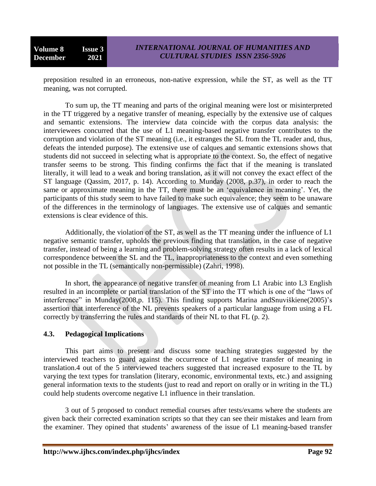preposition resulted in an erroneous, non-native expression, while the ST, as well as the TT meaning, was not corrupted.

To sum up, the TT meaning and parts of the original meaning were lost or misinterpreted in the TT triggered by a negative transfer of meaning, especially by the extensive use of calques and semantic extensions. The interview data coincide with the corpus data analysis: the interviewees concurred that the use of L1 meaning-based negative transfer contributes to the corruption and violation of the ST meaning (i.e., it estranges the SL from the TL reader and, thus, defeats the intended purpose). The extensive use of calques and semantic extensions shows that students did not succeed in selecting what is appropriate to the context. So, the effect of negative transfer seems to be strong. This finding confirms the fact that if the meaning is translated literally, it will lead to a weak and boring translation, as it will not convey the exact effect of the ST language (Qassim, 2017, p. 14). According to Munday (2008, p.37), in order to reach the same or approximate meaning in the TT, there must be an 'equivalence in meaning'. Yet, the participants of this study seem to have failed to make such equivalence; they seem to be unaware of the differences in the terminology of languages. The extensive use of calques and semantic extensions is clear evidence of this.

Additionally, the violation of the ST, as well as the TT meaning under the influence of L1 negative semantic transfer, upholds the previous finding that translation, in the case of negative transfer, instead of being a learning and problem-solving strategy often results in a lack of lexical correspondence between the SL and the TL, inappropriateness to the context and even something not possible in the TL (semantically non-permissible) (Zahri, 1998).

In short, the appearance of negative transfer of meaning from L1 Arabic into L3 English resulted in an incomplete or partial translation of the ST into the TT which is one of the "laws of interference" in Munday(2008,p. 115). This finding supports Marina andSnuviškiene(2005)'s assertion that interference of the NL prevents speakers of a particular language from using a FL correctly by transferring the rules and standards of their NL to that FL (p. 2).

# **4.3. Pedagogical Implications**

This part aims to present and discuss some teaching strategies suggested by the interviewed teachers to guard against the occurrence of L1 negative transfer of meaning in translation.4 out of the 5 interviewed teachers suggested that increased exposure to the TL by varying the text types for translation (literary, economic, environmental texts, etc.) and assigning general information texts to the students (just to read and report on orally or in writing in the TL) could help students overcome negative L1 influence in their translation.

3 out of 5 proposed to conduct remedial courses after tests/exams where the students are given back their corrected examination scripts so that they can see their mistakes and learn from the examiner. They opined that students" awareness of the issue of L1 meaning-based transfer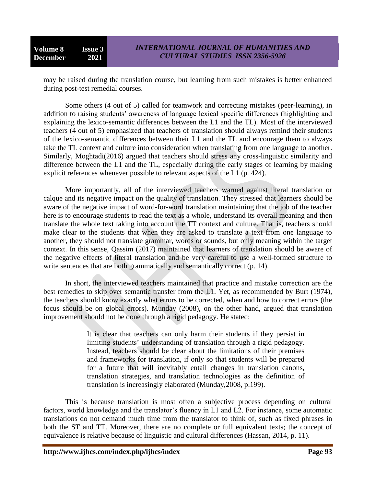may be raised during the translation course, but learning from such mistakes is better enhanced during post-test remedial courses.

Some others (4 out of 5) called for teamwork and correcting mistakes (peer-learning), in addition to raising students' awareness of language lexical specific differences (highlighting and explaining the lexico-semantic differences between the L1 and the TL). Most of the interviewed teachers (4 out of 5) emphasized that teachers of translation should always remind their students of the lexico-semantic differences between their L1 and the TL and encourage them to always take the TL context and culture into consideration when translating from one language to another. Similarly, Moghtadi(2016) argued that teachers should stress any cross-linguistic similarity and difference between the L1 and the TL, especially during the early stages of learning by making explicit references whenever possible to relevant aspects of the L1 (p. 424).

More importantly, all of the interviewed teachers warned against literal translation or calque and its negative impact on the quality of translation. They stressed that learners should be aware of the negative impact of word-for-word translation maintaining that the job of the teacher here is to encourage students to read the text as a whole, understand its overall meaning and then translate the whole text taking into account the TT context and culture. That is, teachers should make clear to the students that when they are asked to translate a text from one language to another, they should not translate grammar, words or sounds, but only meaning within the target context. In this sense, Qassim (2017) maintained that learners of translation should be aware of the negative effects of literal translation and be very careful to use a well-formed structure to write sentences that are both grammatically and semantically correct (p. 14).

In short, the interviewed teachers maintained that practice and mistake correction are the best remedies to skip over semantic transfer from the L1. Yet, as recommended by Burt (1974), the teachers should know exactly what errors to be corrected, when and how to correct errors (the focus should be on global errors). Munday (2008), on the other hand, argued that translation improvement should not be done through a rigid pedagogy. He stated:

> It is clear that teachers can only harm their students if they persist in limiting students' understanding of translation through a rigid pedagogy. Instead, teachers should be clear about the limitations of their premises and frameworks for translation, if only so that students will be prepared for a future that will inevitably entail changes in translation canons, translation strategies, and translation technologies as the definition of translation is increasingly elaborated (Munday,2008, p.199).

This is because translation is most often a subjective process depending on cultural factors, world knowledge and the translator's fluency in L1 and L2. For instance, some automatic translations do not demand much time from the translator to think of, such as fixed phrases in both the ST and TT. Moreover, there are no complete or full equivalent texts; the concept of equivalence is relative because of linguistic and cultural differences (Hassan, 2014, p. 11).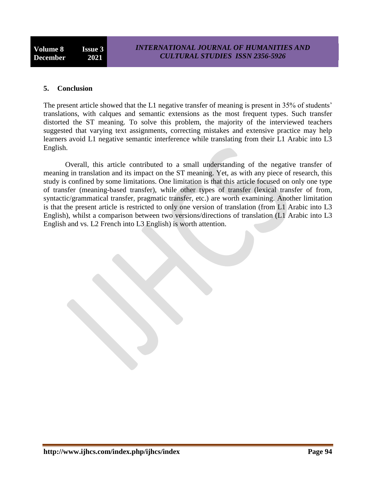#### **5. Conclusion**

The present article showed that the L1 negative transfer of meaning is present in 35% of students' translations, with calques and semantic extensions as the most frequent types. Such transfer distorted the ST meaning. To solve this problem, the majority of the interviewed teachers suggested that varying text assignments, correcting mistakes and extensive practice may help learners avoid L1 negative semantic interference while translating from their L1 Arabic into L3 English.

Overall, this article contributed to a small understanding of the negative transfer of meaning in translation and its impact on the ST meaning. Yet, as with any piece of research, this study is confined by some limitations. One limitation is that this article focused on only one type of transfer (meaning-based transfer), while other types of transfer (lexical transfer of from, syntactic/grammatical transfer, pragmatic transfer, etc.) are worth examining. Another limitation is that the present article is restricted to only one version of translation (from L1 Arabic into L3 English), whilst a comparison between two versions/directions of translation (L1 Arabic into L3 English and vs. L2 French into L3 English) is worth attention.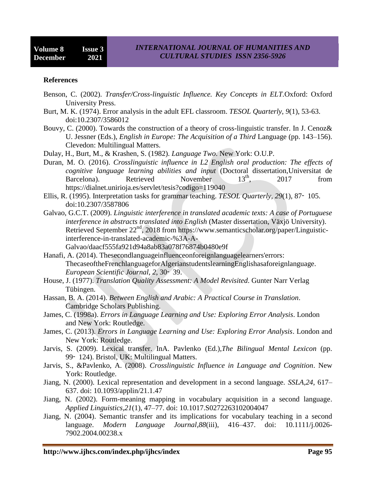#### **References**

- Benson, C. (2002). *Transfer/Cross-linguistic Influence. Key Concepts in ELT.*Oxford: Oxford University Press.
- Burt, M. K. (1974). Error analysis in the adult EFL classroom. *TESOL Quarterly*, *9*(1), 53-63. doi:10.2307/3586012
- Bouvy, C. (2000). Towards the construction of a theory of cross-linguistic transfer. In J. Cenoz& U. Jessner (Eds.), *English in Europe: The Acquisition of a Third* Language (pp. 143–156). Clevedon: Multilingual Matters.
- Dulay, H., Burt, M., & Krashen, S. (1982). *Language Two*. New York: O.U.P.
- Duran, M. O. (2016). *Crosslinguistic influence in L2 English oral production: The effects of cognitive language learning abilities and input* (Doctoral dissertation,Universitat de Barcelona). Retrieved November 13<sup>th</sup>, 2017 from https://dialnet.unirioja.es/servlet/tesis?codigo=119040
- Ellis, R. (1995). Interpretation tasks for grammar teaching. *TESOL Quarterly*, *29*(1), 87‑ 105. doi:10.2307/3587806
- Galvao, G.C.T. (2009). *Linguistic interference in translated academic texts: A case of Portuguese interference in abstracts translated into English* (Master dissertation, Växjö University). Retrieved September  $22<sup>nd</sup>$ , 2018 from https://www.semanticscholar.org/paper/Linguisticinterference-in-translated-academic-%3A-A-Galvao/daacf555fa921d94a8ab83a078f76874b0480e9f
- Hanafi, A. (2014). Thesecondlanguageinfluenceonforeignlanguagelearners'errors: ThecaseoftheFrenchlanguageforAlgerianstudentslearningEnglishasaforeignlanguage. *European Scientific Journal*, *2*, 30‑ 39.
- House, J. (1977). *Translation Quality Assessment: A Model Revisited*. Gunter Narr Verlag Tübingen.
- Hassan, B. A. (2014). *Between English and Arabic: A Practical Course in Translation*. Cambridge Scholars Publishing.
- James, C. (1998a). *Errors in Language Learning and Use: Exploring Error Analysis*. London and New York: Routledge.
- James, C. (2013). *Errors in Language Learning and Use: Exploring Error Analysis*. London and New York: Routledge.
- Jarvis, S. (2009). Lexical transfer. InA. Pavlenko (Ed.),*The Bilingual Mental Lexicon* (pp. 99‑ 124). Bristol, UK: Multilingual Matters.
- Jarvis, S., &Pavlenko, A. (2008). *Crosslinguistic Influence in Language and Cognition*. New York: Routledge.
- Jiang, N. (2000). Lexical representation and development in a second language. *SSLA,24*, 617– 637. doi: [10.1093/applin/21.1.47](https://www.researchgate.net/deref/http%3A%2F%2Fdx.doi.org%2F10.1093%2Fapplin%2F21.1.47?_sg%5B0%5D=H4u4waeUy1bGWKkgChkmfR9oDu7RjUJ4lYpFdZqVF6y7ZSkW2XS7XP0-8yDOzUuFyoAFIUN9vmFzjaUtcCzandydaw.wJcFPOcPDjItVS8pWiq_5odI1lDR5d4wmQcBCLlHEiZdOez1k6aaUioLR8QidbhT9RzzhAQGX0CcdEYzQ4KIAQ)
- Jiang, N. (2002). Form-meaning mapping in vocabulary acquisition in a second language. *Applied Linguistics,21*(1), 47–77. doi: 10.1017.S0272263102004047
- Jiang, N. (2004). Semantic transfer and its implications for vocabulary teaching in a second language. *Modern Language Journal,88*(iii), 416–437. doi: 10.1111/j.0026- 7902.2004.00238.x